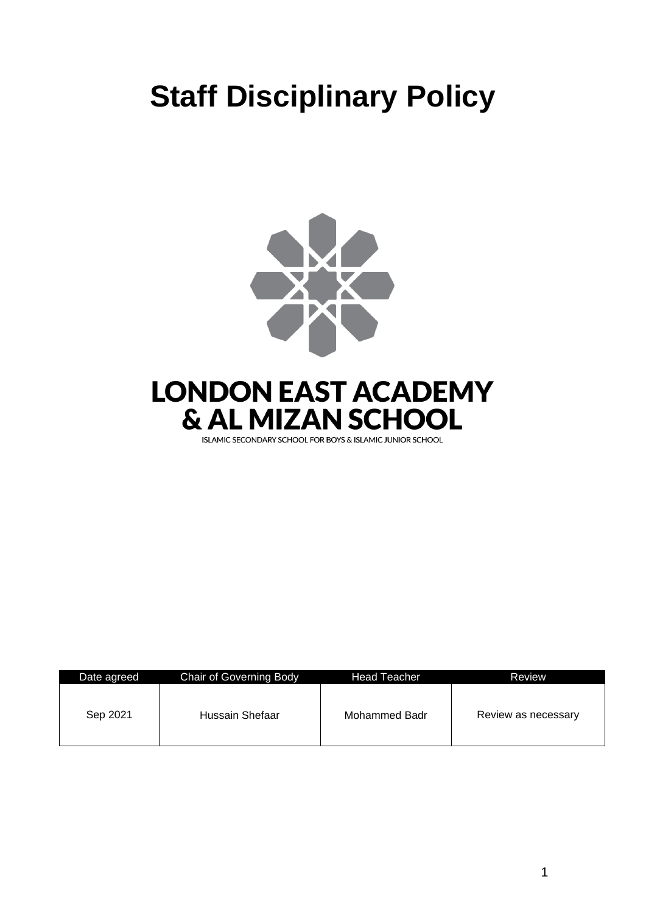# **Staff Disciplinary Policy**





| Date agreed | Chair of Governing Body | <b>Head Teacher</b> | Review              |
|-------------|-------------------------|---------------------|---------------------|
| Sep 2021    | Hussain Shefaar         | Mohammed Badr       | Review as necessary |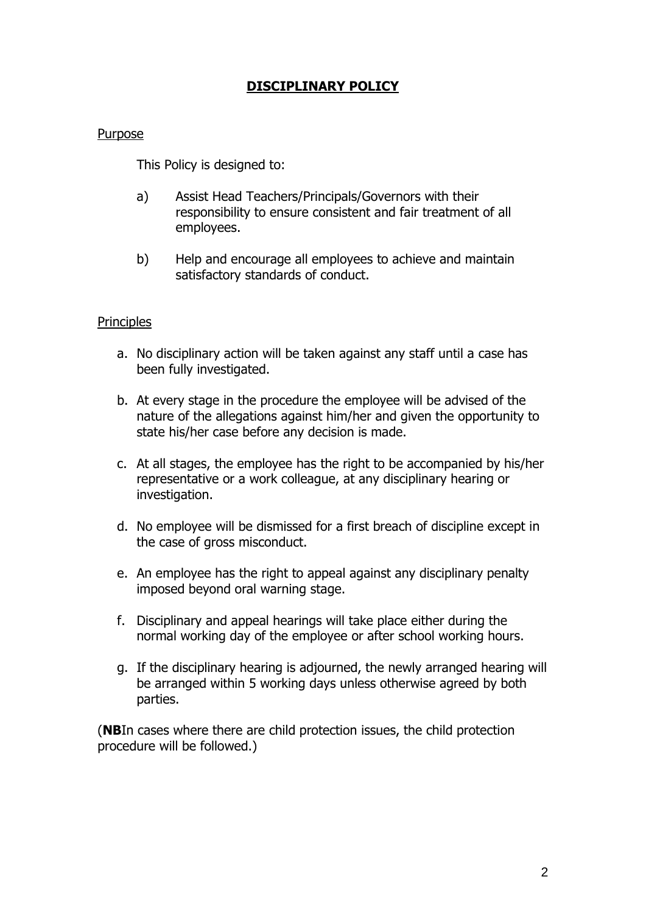# **DISCIPLINARY POLICY**

#### **Purpose**

This Policy is designed to:

- a) Assist Head Teachers/Principals/Governors with their responsibility to ensure consistent and fair treatment of all employees.
- b) Help and encourage all employees to achieve and maintain satisfactory standards of conduct.

## **Principles**

- a. No disciplinary action will be taken against any staff until a case has been fully investigated.
- b. At every stage in the procedure the employee will be advised of the nature of the allegations against him/her and given the opportunity to state his/her case before any decision is made.
- c. At all stages, the employee has the right to be accompanied by his/her representative or a work colleague, at any disciplinary hearing or investigation.
- d. No employee will be dismissed for a first breach of discipline except in the case of gross misconduct.
- e. An employee has the right to appeal against any disciplinary penalty imposed beyond oral warning stage.
- f. Disciplinary and appeal hearings will take place either during the normal working day of the employee or after school working hours.
- g. If the disciplinary hearing is adjourned, the newly arranged hearing will be arranged within 5 working days unless otherwise agreed by both parties.

(**NB**In cases where there are child protection issues, the child protection procedure will be followed.)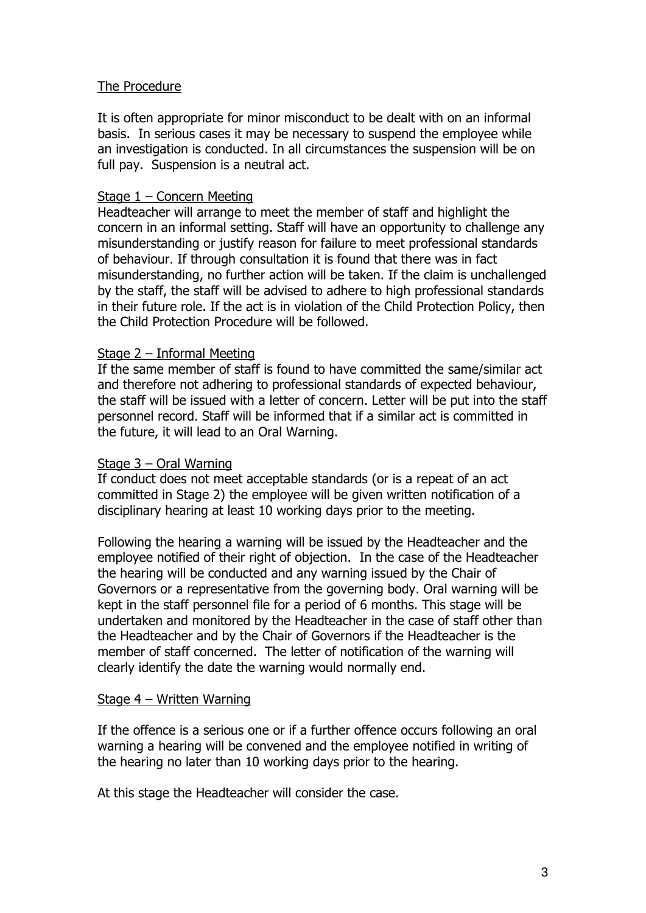## The Procedure

It is often appropriate for minor misconduct to be dealt with on an informal basis. In serious cases it may be necessary to suspend the employee while an investigation is conducted. In all circumstances the suspension will be on full pay. Suspension is a neutral act.

#### Stage 1 – Concern Meeting

Headteacher will arrange to meet the member of staff and highlight the concern in an informal setting. Staff will have an opportunity to challenge any misunderstanding or justify reason for failure to meet professional standards of behaviour. If through consultation it is found that there was in fact misunderstanding, no further action will be taken. If the claim is unchallenged by the staff, the staff will be advised to adhere to high professional standards in their future role. If the act is in violation of the Child Protection Policy, then the Child Protection Procedure will be followed.

#### Stage 2 – Informal Meeting

If the same member of staff is found to have committed the same/similar act and therefore not adhering to professional standards of expected behaviour, the staff will be issued with a letter of concern. Letter will be put into the staff personnel record. Staff will be informed that if a similar act is committed in the future, it will lead to an Oral Warning.

#### Stage 3 – Oral Warning

If conduct does not meet acceptable standards (or is a repeat of an act committed in Stage 2) the employee will be given written notification of a disciplinary hearing at least 10 working days prior to the meeting.

Following the hearing a warning will be issued by the Headteacher and the employee notified of their right of objection. In the case of the Headteacher the hearing will be conducted and any warning issued by the Chair of Governors or a representative from the governing body. Oral warning will be kept in the staff personnel file for a period of 6 months. This stage will be undertaken and monitored by the Headteacher in the case of staff other than the Headteacher and by the Chair of Governors if the Headteacher is the member of staff concerned. The letter of notification of the warning will clearly identify the date the warning would normally end.

#### Stage 4 – Written Warning

If the offence is a serious one or if a further offence occurs following an oral warning a hearing will be convened and the employee notified in writing of the hearing no later than 10 working days prior to the hearing.

At this stage the Headteacher will consider the case.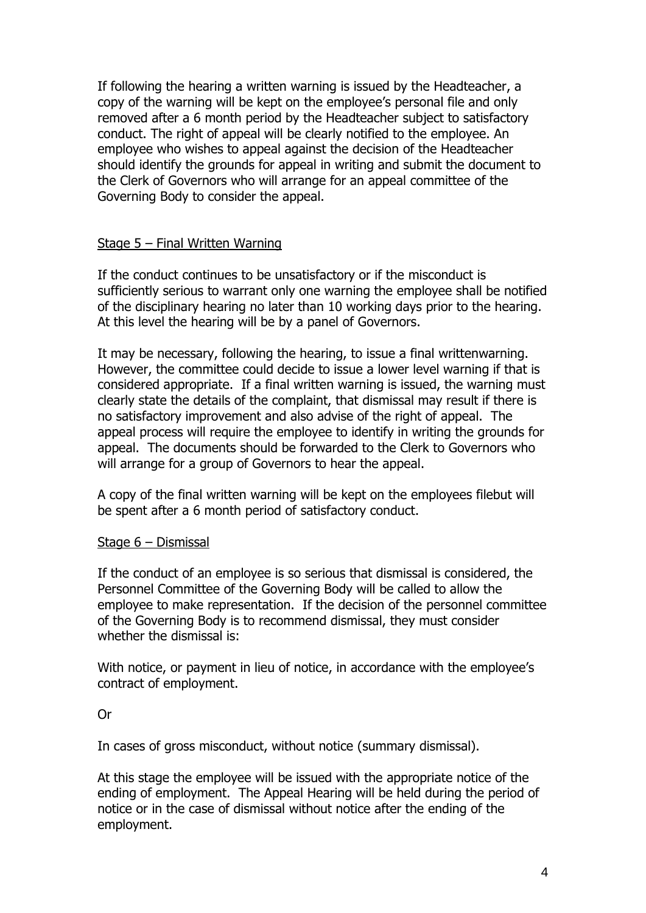If following the hearing a written warning is issued by the Headteacher, a copy of the warning will be kept on the employee's personal file and only removed after a 6 month period by the Headteacher subject to satisfactory conduct. The right of appeal will be clearly notified to the employee. An employee who wishes to appeal against the decision of the Headteacher should identify the grounds for appeal in writing and submit the document to the Clerk of Governors who will arrange for an appeal committee of the Governing Body to consider the appeal.

## Stage 5 – Final Written Warning

If the conduct continues to be unsatisfactory or if the misconduct is sufficiently serious to warrant only one warning the employee shall be notified of the disciplinary hearing no later than 10 working days prior to the hearing. At this level the hearing will be by a panel of Governors.

It may be necessary, following the hearing, to issue a final writtenwarning. However, the committee could decide to issue a lower level warning if that is considered appropriate. If a final written warning is issued, the warning must clearly state the details of the complaint, that dismissal may result if there is no satisfactory improvement and also advise of the right of appeal. The appeal process will require the employee to identify in writing the grounds for appeal. The documents should be forwarded to the Clerk to Governors who will arrange for a group of Governors to hear the appeal.

A copy of the final written warning will be kept on the employees filebut will be spent after a 6 month period of satisfactory conduct.

#### Stage 6 – Dismissal

If the conduct of an employee is so serious that dismissal is considered, the Personnel Committee of the Governing Body will be called to allow the employee to make representation. If the decision of the personnel committee of the Governing Body is to recommend dismissal, they must consider whether the dismissal is:

With notice, or payment in lieu of notice, in accordance with the employee's contract of employment.

#### Or

In cases of gross misconduct, without notice (summary dismissal).

At this stage the employee will be issued with the appropriate notice of the ending of employment. The Appeal Hearing will be held during the period of notice or in the case of dismissal without notice after the ending of the employment.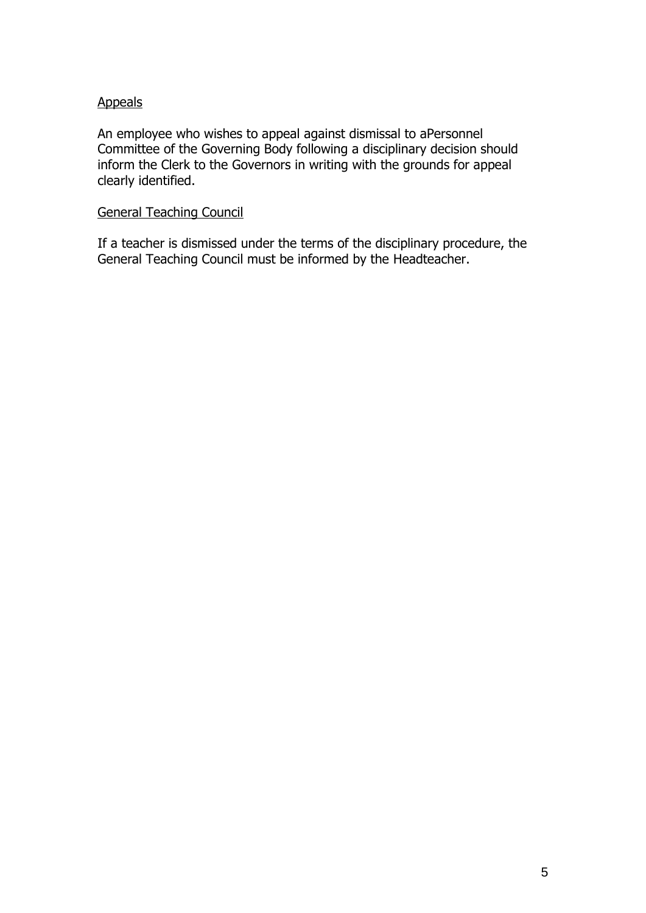## Appeals

An employee who wishes to appeal against dismissal to aPersonnel Committee of the Governing Body following a disciplinary decision should inform the Clerk to the Governors in writing with the grounds for appeal clearly identified.

## General Teaching Council

If a teacher is dismissed under the terms of the disciplinary procedure, the General Teaching Council must be informed by the Headteacher.